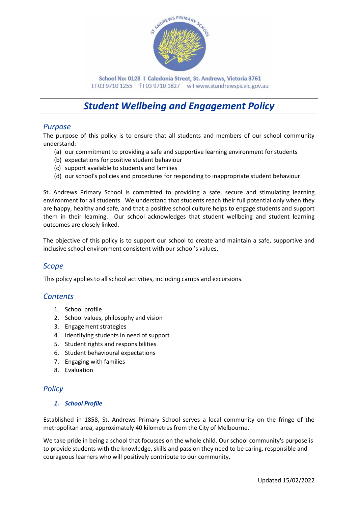

School No: 0128 | Caledonia Street, St. Andrews, Victoria 3761 t103 9710 1255 f103 9710 1827 wlwww.standrewsps.vic.gov.au

# *Student Wellbeing and Engagement Policy*

## *Purpose*

The purpose of this policy is to ensure that all students and members of our school community understand:

- (a) our commitment to providing a safe and supportive learning environment for students
- (b) expectations for positive student behaviour
- (c) support available to students and families
- (d) our school's policies and procedures for responding to inappropriate student behaviour.

St. Andrews Primary School is committed to providing a safe, secure and stimulating learning environment for all students. We understand that students reach their full potential only when they are happy, healthy and safe, and that a positive school culture helps to engage students and support them in their learning. Our school acknowledges that student wellbeing and student learning outcomes are closely linked.

The objective of this policy is to support our school to create and maintain a safe, supportive and inclusive school environment consistent with our school's values.

## *Scope*

This policy applies to all school activities, including camps and excursions.

## *Contents*

- 1. School profile
- 2. School values, philosophy and vision
- 3. Engagement strategies
- 4. Identifying students in need of support
- 5. Student rights and responsibilities
- 6. Student behavioural expectations
- 7. Engaging with families
- 8. Evaluation

## *Policy*

#### *1. School Profile*

Established in 1858, St. Andrews Primary School serves a local community on the fringe of the metropolitan area, approximately 40 kilometres from the City of Melbourne.

We take pride in being a school that focusses on the whole child. Our school community's purpose is to provide students with the knowledge, skills and passion they need to be caring, responsible and courageous learners who will positively contribute to our community.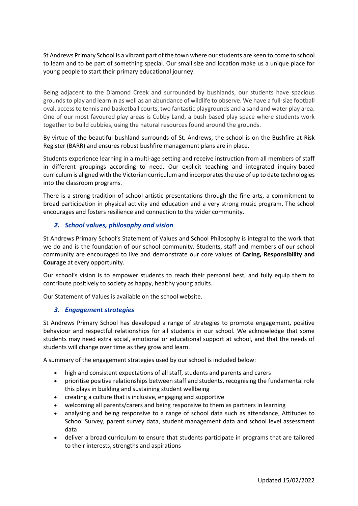St Andrews Primary School is a vibrant part of the town where our students are keen to come to school to learn and to be part of something special. Our small size and location make us a unique place for young people to start their primary educational journey.

Being adjacent to the Diamond Creek and surrounded by bushlands, our students have spacious grounds to play and learn in as well as an abundance of wildlife to observe. We have a full-size football oval, access to tennis and basketball courts, two fantastic playgrounds and a sand and water play area. One of our most favoured play areas is Cubby Land, a bush based play space where students work together to build cubbies, using the natural resources found around the grounds.

By virtue of the beautiful bushland surrounds of St. Andrews, the school is on the Bushfire at Risk Register (BARR) and ensures robust bushfire management plans are in place.

Students experience learning in a multi-age setting and receive instruction from all members of staff in different groupings according to need. Our explicit teaching and integrated inquiry-based curriculum is aligned with the Victorian curriculum and incorporates the use of up to date technologies into the classroom programs.

There is a strong tradition of school artistic presentations through the fine arts, a commitment to broad participation in physical activity and education and a very strong music program. The school encourages and fosters resilience and connection to the wider community.

#### *2. School values, philosophy and vision*

St Andrews Primary School's Statement of Values and School Philosophy is integral to the work that we do and is the foundation of our school community. Students, staff and members of our school community are encouraged to live and demonstrate our core values of **Caring, Responsibility and Courage** at every opportunity.

Our school's vision is to empower students to reach their personal best, and fully equip them to contribute positively to society as happy, healthy young adults.

Our Statement of Values is available on the school website.

#### *3. Engagement strategies*

St Andrews Primary School has developed a range of strategies to promote engagement, positive behaviour and respectful relationships for all students in our school. We acknowledge that some students may need extra social, emotional or educational support at school, and that the needs of students will change over time as they grow and learn.

A summary of the engagement strategies used by our school is included below:

- high and consistent expectations of all staff, students and parents and carers
- prioritise positive relationships between staff and students, recognising the fundamental role this plays in building and sustaining student wellbeing
- creating a culture that is inclusive, engaging and supportive
- welcoming all parents/carers and being responsive to them as partners in learning
- analysing and being responsive to a range of school data such as attendance, Attitudes to School Survey, parent survey data, student management data and school level assessment data
- deliver a broad curriculum to ensure that students participate in programs that are tailored to their interests, strengths and aspirations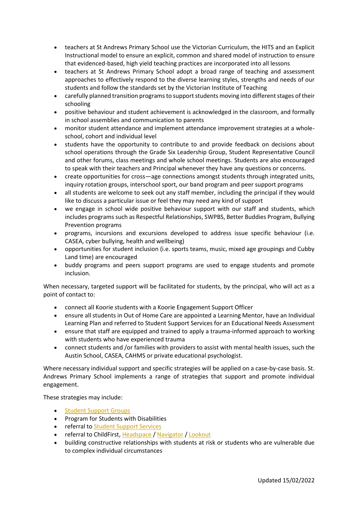- teachers at St Andrews Primary School use the Victorian Curriculum, the HITS and an Explicit Instructional model to ensure an explicit, common and shared model of instruction to ensure that evidenced-based, high yield teaching practices are incorporated into all lessons
- teachers at St Andrews Primary School adopt a broad range of teaching and assessment approaches to effectively respond to the diverse learning styles, strengths and needs of our students and follow the standards set by the Victorian Institute of Teaching
- carefully planned transition programs to support students moving into different stages of their schooling
- positive behaviour and student achievement is acknowledged in the classroom, and formally in school assemblies and communication to parents
- monitor student attendance and implement attendance improvement strategies at a wholeschool, cohort and individual level
- students have the opportunity to contribute to and provide feedback on decisions about school operations through the Grade Six Leadership Group, Student Representative Council and other forums, class meetings and whole school meetings. Students are also encouraged to speak with their teachers and Principal whenever they have any questions or concerns.
- create opportunities for cross—age connections amongst students through integrated units, inquiry rotation groups, interschool sport, our band program and peer support programs
- all students are welcome to seek out any staff member, including the principal if they would like to discuss a particular issue or feel they may need any kind of support
- we engage in school wide positive behaviour support with our staff and students, which includes programs such as Respectful Relationships, SWPBS, Better Buddies Program, Bullying Prevention programs
- programs, incursions and excursions developed to address issue specific behaviour (i.e. CASEA, cyber bullying, health and wellbeing)
- opportunities for student inclusion (i.e. sports teams, music, mixed age groupings and Cubby Land time) are encouraged
- buddy programs and peers support programs are used to engage students and promote inclusion.

When necessary, targeted support will be facilitated for students, by the principal, who will act as a point of contact to:

- connect all Koorie students with a Koorie Engagement Support Officer
- ensure all students in Out of Home Care are appointed a Learning Mentor, have an Individual Learning Plan and referred to Student Support Services for an Educational Needs Assessment
- ensure that staff are equipped and trained to apply a trauma-informed approach to working with students who have experienced trauma
- connect students and /or families with providers to assist with mental health issues, such the Austin School, CASEA, CAHMS or private educational psychologist.

Where necessary individual support and specific strategies will be applied on a case-by-case basis. St. Andrews Primary School implements a range of strategies that support and promote individual engagement.

These strategies may include:

- [Student Support Groups](https://www2.education.vic.gov.au/pal/student-support-groups)
- Program for Students with Disabilities
- referral to [Student Support Services](https://www2.education.vic.gov.au/pal/student-support-services/policy)
- referral to ChildFirst, [Headspace](https://www.education.vic.gov.au/school/teachers/health/mentalhealth/Pages/headspace-counselling-secondary.aspx) / [Navigator](•%09Navigator) / [Lookout](https://www.education.vic.gov.au/about/programs/Pages/lookout.aspx)
- building constructive relationships with students at risk or students who are vulnerable due to complex individual circumstances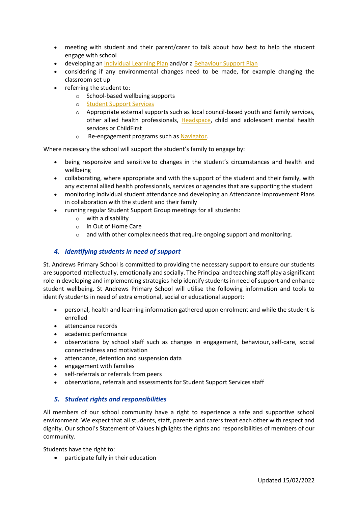- meeting with student and their parent/carer to talk about how best to help the student engage with school
- developing an [Individual Learning Plan](•%09Individual%20Education%20Plans) and/or a [Behaviour Support Plan](https://www2.education.vic.gov.au/pal/behaviour-students/guidance/6-behaviour-support-plans)
- considering if any environmental changes need to be made, for example changing the classroom set up
- referring the student to:
	- o School-based wellbeing supports
	- o [Student Support Services](Student%20Support%20Services)
	- $\circ$  Appropriate external supports such as local council-based youth and family services, other allied health professionals, [Headspace,](Headspace) child and adolescent mental health services or ChildFirst
	- o Re-engagement programs such as [Navigator.](Navigator)

Where necessary the school will support the student's family to engage by:

- being responsive and sensitive to changes in the student's circumstances and health and wellbeing
- collaborating, where appropriate and with the support of the student and their family, with any external allied health professionals, services or agencies that are supporting the student
- monitoring individual student attendance and developing an Attendance Improvement Plans in collaboration with the student and their family
- running regular Student Support Group meetings for all students:
	- o with a disability
	- o in Out of Home Care
	- o and with other complex needs that require ongoing support and monitoring*.*

#### *4. Identifying students in need of support*

St. Andrews Primary School is committed to providing the necessary support to ensure our students are supported intellectually, emotionally and socially. The Principal and teaching staff play a significant role in developing and implementing strategies help identify students in need of support and enhance student wellbeing. St Andrews Primary School will utilise the following information and tools to identify students in need of extra emotional, social or educational support:

- personal, health and learning information gathered upon enrolment and while the student is enrolled
- attendance records
- academic performance
- observations by school staff such as changes in engagement, behaviour, self-care, social connectedness and motivation
- attendance, detention and suspension data
- engagement with families
- self-referrals or referrals from peers
- observations, referrals and assessments for Student Support Services staff

## *5. Student rights and responsibilities*

All members of our school community have a right to experience a safe and supportive school environment. We expect that all students, staff, parents and carers treat each other with respect and dignity. Our school's Statement of Values highlights the rights and responsibilities of members of our community.

Students have the right to:

• participate fully in their education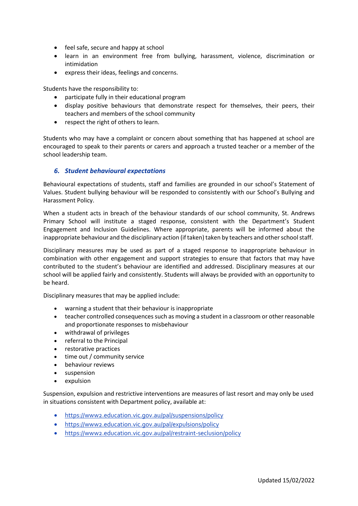- feel safe, secure and happy at school
- learn in an environment free from bullying, harassment, violence, discrimination or intimidation
- express their ideas, feelings and concerns.

Students have the responsibility to:

- participate fully in their educational program
- display positive behaviours that demonstrate respect for themselves, their peers, their teachers and members of the school community
- respect the right of others to learn.

Students who may have a complaint or concern about something that has happened at school are encouraged to speak to their parents or carers and approach a trusted teacher or a member of the school leadership team.

#### *6. Student behavioural expectations*

Behavioural expectations of students, staff and families are grounded in our school's Statement of Values. Student bullying behaviour will be responded to consistently with our School's Bullying and Harassment Policy.

When a student acts in breach of the behaviour standards of our school community, St. Andrews Primary School will institute a staged response, consistent with the Department's Student Engagement and Inclusion Guidelines. Where appropriate, parents will be informed about the inappropriate behaviour and the disciplinary action (if taken) taken by teachers and other school staff.

Disciplinary measures may be used as part of a staged response to inappropriate behaviour in combination with other engagement and support strategies to ensure that factors that may have contributed to the student's behaviour are identified and addressed. Disciplinary measures at our school will be applied fairly and consistently. Students will always be provided with an opportunity to be heard.

Disciplinary measures that may be applied include:

- warning a student that their behaviour is inappropriate
- teacher controlled consequences such as moving a student in a classroom or other reasonable and proportionate responses to misbehaviour
- withdrawal of privileges
- referral to the Principal
- restorative practices
- time out / community service
- behaviour reviews
- suspension
- expulsion

Suspension, expulsion and restrictive interventions are measures of last resort and may only be used in situations consistent with Department policy, available at:

- <https://www2.education.vic.gov.au/pal/suspensions/policy>
- <https://www2.education.vic.gov.au/pal/expulsions/policy>
- <https://www2.education.vic.gov.au/pal/restraint-seclusion/policy>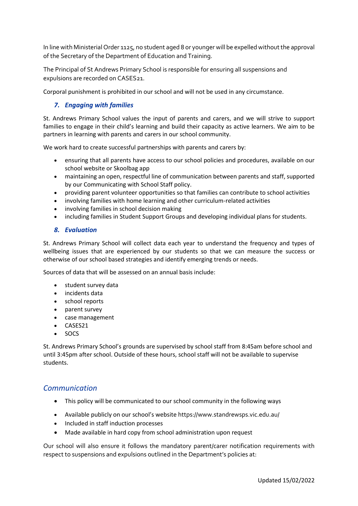In line with Ministerial Order 1125, no student aged 8 or younger will be expelled without the approval of the Secretary of the Department of Education and Training.

The Principal of St Andrews Primary School is responsible for ensuring all suspensions and expulsions are recorded on CASES21.

Corporal punishment is prohibited in our school and will not be used in any circumstance.

#### *7. Engaging with families*

St. Andrews Primary School values the input of parents and carers, and we will strive to support families to engage in their child's learning and build their capacity as active learners. We aim to be partners in learning with parents and carers in our school community.

We work hard to create successful partnerships with parents and carers by:

- ensuring that all parents have access to our school policies and procedures, available on our school website or Skoolbag app
- maintaining an open, respectful line of communication between parents and staff, supported by our Communicating with School Staff policy.
- providing parent volunteer opportunities so that families can contribute to school activities
- involving families with home learning and other curriculum-related activities
- involving families in school decision making
- including families in Student Support Groups and developing individual plans for students.

#### *8. Evaluation*

St. Andrews Primary School will collect data each year to understand the frequency and types of wellbeing issues that are experienced by our students so that we can measure the success or otherwise of our school based strategies and identify emerging trends or needs.

Sources of data that will be assessed on an annual basis include:

- student survey data
- incidents data
- school reports
- parent survey
- case management
- CASES21
- SOCS

St. Andrews Primary School's grounds are supervised by school staff from 8:45am before school and until 3:45pm after school. Outside of these hours, school staff will not be available to supervise students.

## *Communication*

- This policy will be communicated to our school community in the following ways
- Available publicly on our school's website https://www.standrewsps.vic.edu.au/
- Included in staff induction processes
- Made available in hard copy from school administration upon request

Our school will also ensure it follows the mandatory parent/carer notification requirements with respect to suspensions and expulsions outlined in the Department's policies at: